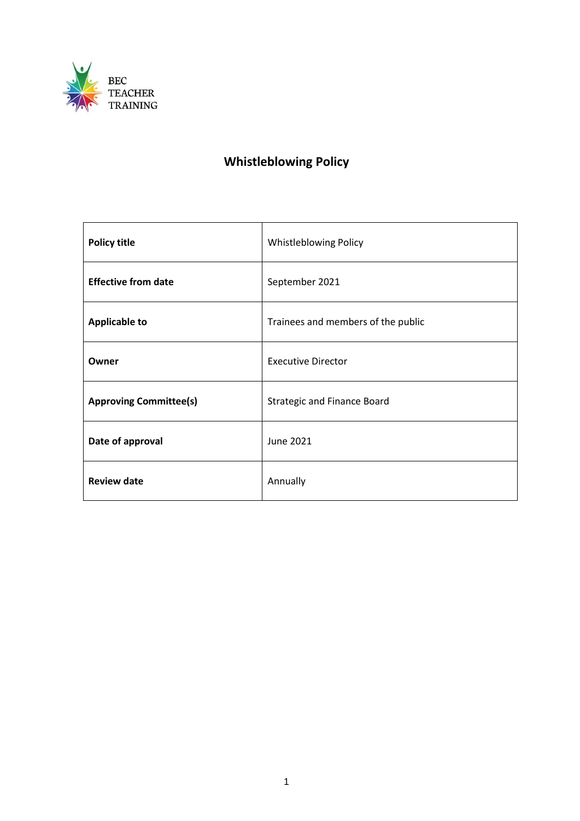

# **Whistleblowing Policy**

| <b>Policy title</b>           | Whistleblowing Policy              |
|-------------------------------|------------------------------------|
| <b>Effective from date</b>    | September 2021                     |
| <b>Applicable to</b>          | Trainees and members of the public |
| Owner                         | <b>Executive Director</b>          |
| <b>Approving Committee(s)</b> | <b>Strategic and Finance Board</b> |
| Date of approval              | <b>June 2021</b>                   |
| <b>Review date</b>            | Annually                           |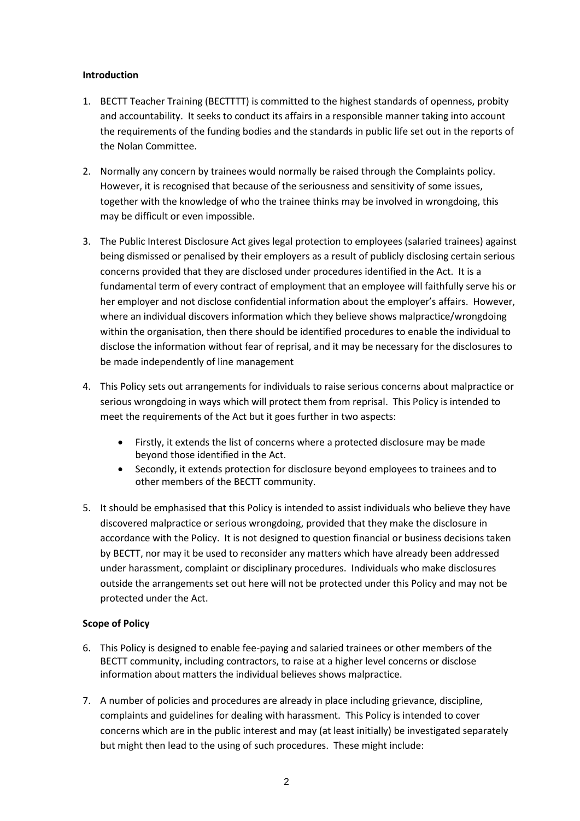# **Introduction**

- 1. BECTT Teacher Training (BECTTTT) is committed to the highest standards of openness, probity and accountability. It seeks to conduct its affairs in a responsible manner taking into account the requirements of the funding bodies and the standards in public life set out in the reports of the Nolan Committee.
- 2. Normally any concern by trainees would normally be raised through the Complaints policy. However, it is recognised that because of the seriousness and sensitivity of some issues, together with the knowledge of who the trainee thinks may be involved in wrongdoing, this may be difficult or even impossible.
- 3. The Public Interest Disclosure Act gives legal protection to employees (salaried trainees) against being dismissed or penalised by their employers as a result of publicly disclosing certain serious concerns provided that they are disclosed under procedures identified in the Act. It is a fundamental term of every contract of employment that an employee will faithfully serve his or her employer and not disclose confidential information about the employer's affairs. However, where an individual discovers information which they believe shows malpractice/wrongdoing within the organisation, then there should be identified procedures to enable the individual to disclose the information without fear of reprisal, and it may be necessary for the disclosures to be made independently of line management
- 4. This Policy sets out arrangements for individuals to raise serious concerns about malpractice or serious wrongdoing in ways which will protect them from reprisal. This Policy is intended to meet the requirements of the Act but it goes further in two aspects:
	- Firstly, it extends the list of concerns where a protected disclosure may be made beyond those identified in the Act.
	- Secondly, it extends protection for disclosure beyond employees to trainees and to other members of the BECTT community.
- 5. It should be emphasised that this Policy is intended to assist individuals who believe they have discovered malpractice or serious wrongdoing, provided that they make the disclosure in accordance with the Policy. It is not designed to question financial or business decisions taken by BECTT, nor may it be used to reconsider any matters which have already been addressed under harassment, complaint or disciplinary procedures. Individuals who make disclosures outside the arrangements set out here will not be protected under this Policy and may not be protected under the Act.

# **Scope of Policy**

- 6. This Policy is designed to enable fee-paying and salaried trainees or other members of the BECTT community, including contractors, to raise at a higher level concerns or disclose information about matters the individual believes shows malpractice.
- 7. A number of policies and procedures are already in place including grievance, discipline, complaints and guidelines for dealing with harassment. This Policy is intended to cover concerns which are in the public interest and may (at least initially) be investigated separately but might then lead to the using of such procedures. These might include: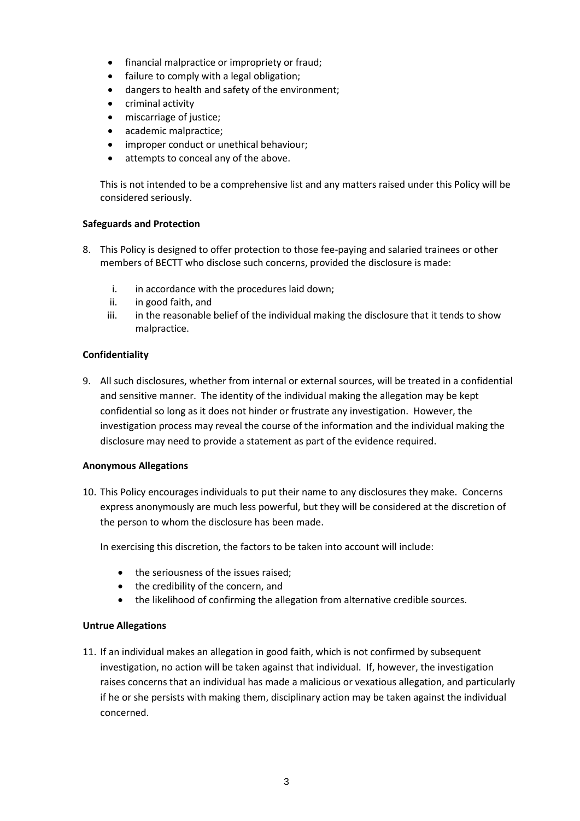- financial malpractice or impropriety or fraud;
- failure to comply with a legal obligation;
- dangers to health and safety of the environment;
- criminal activity
- miscarriage of justice;
- academic malpractice;
- improper conduct or unethical behaviour;
- attempts to conceal any of the above.

This is not intended to be a comprehensive list and any matters raised under this Policy will be considered seriously.

#### **Safeguards and Protection**

- 8. This Policy is designed to offer protection to those fee-paying and salaried trainees or other members of BECTT who disclose such concerns, provided the disclosure is made:
	- i. in accordance with the procedures laid down;
	- ii. in good faith, and
	- iii. in the reasonable belief of the individual making the disclosure that it tends to show malpractice.

# **Confidentiality**

9. All such disclosures, whether from internal or external sources, will be treated in a confidential and sensitive manner. The identity of the individual making the allegation may be kept confidential so long as it does not hinder or frustrate any investigation. However, the investigation process may reveal the course of the information and the individual making the disclosure may need to provide a statement as part of the evidence required.

#### **Anonymous Allegations**

10. This Policy encourages individuals to put their name to any disclosures they make. Concerns express anonymously are much less powerful, but they will be considered at the discretion of the person to whom the disclosure has been made.

In exercising this discretion, the factors to be taken into account will include:

- the seriousness of the issues raised;
- the credibility of the concern, and
- the likelihood of confirming the allegation from alternative credible sources.

#### **Untrue Allegations**

11. If an individual makes an allegation in good faith, which is not confirmed by subsequent investigation, no action will be taken against that individual. If, however, the investigation raises concerns that an individual has made a malicious or vexatious allegation, and particularly if he or she persists with making them, disciplinary action may be taken against the individual concerned.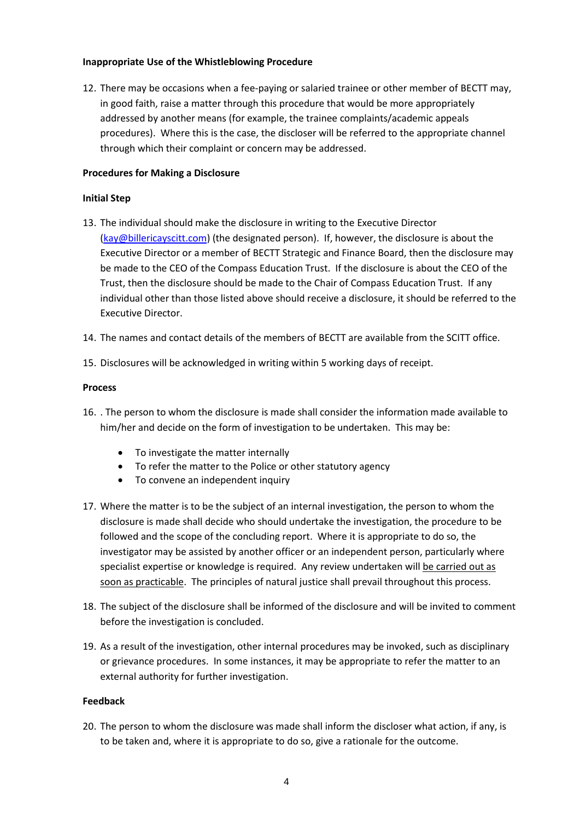# **Inappropriate Use of the Whistleblowing Procedure**

12. There may be occasions when a fee-paying or salaried trainee or other member of BECTT may, in good faith, raise a matter through this procedure that would be more appropriately addressed by another means (for example, the trainee complaints/academic appeals procedures). Where this is the case, the discloser will be referred to the appropriate channel through which their complaint or concern may be addressed.

# **Procedures for Making a Disclosure**

# **Initial Step**

- 13. The individual should make the disclosure in writing to the Executive Director [\(kay@billericayscitt.com\)](mailto:kay@billericayscitt.com) (the designated person). If, however, the disclosure is about the Executive Director or a member of BECTT Strategic and Finance Board, then the disclosure may be made to the CEO of the Compass Education Trust. If the disclosure is about the CEO of the Trust, then the disclosure should be made to the Chair of Compass Education Trust. If any individual other than those listed above should receive a disclosure, it should be referred to the Executive Director.
- 14. The names and contact details of the members of BECTT are available from the SCITT office.
- 15. Disclosures will be acknowledged in writing within 5 working days of receipt.

# **Process**

- 16. . The person to whom the disclosure is made shall consider the information made available to him/her and decide on the form of investigation to be undertaken. This may be:
	- To investigate the matter internally
	- To refer the matter to the Police or other statutory agency
	- To convene an independent inquiry
- 17. Where the matter is to be the subject of an internal investigation, the person to whom the disclosure is made shall decide who should undertake the investigation, the procedure to be followed and the scope of the concluding report. Where it is appropriate to do so, the investigator may be assisted by another officer or an independent person, particularly where specialist expertise or knowledge is required. Any review undertaken will be carried out as soon as practicable. The principles of natural justice shall prevail throughout this process.
- 18. The subject of the disclosure shall be informed of the disclosure and will be invited to comment before the investigation is concluded.
- 19. As a result of the investigation, other internal procedures may be invoked, such as disciplinary or grievance procedures. In some instances, it may be appropriate to refer the matter to an external authority for further investigation.

#### **Feedback**

20. The person to whom the disclosure was made shall inform the discloser what action, if any, is to be taken and, where it is appropriate to do so, give a rationale for the outcome.